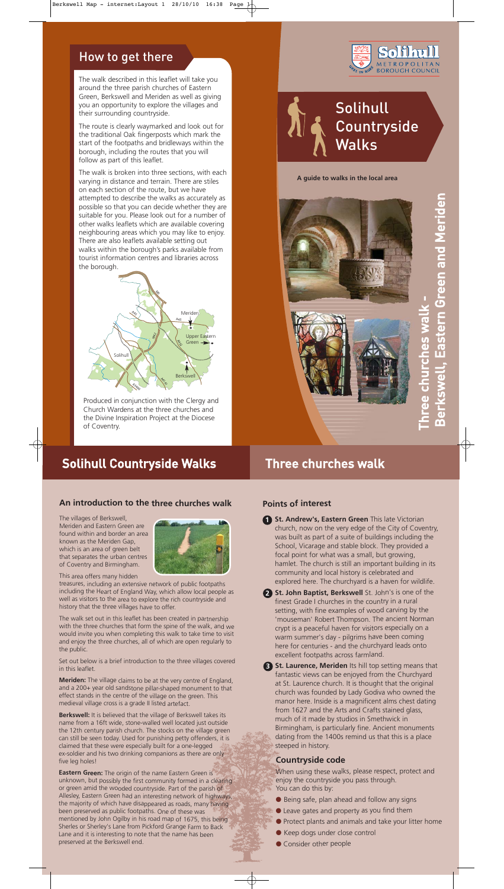#### **A guide to walks in the local area**





# **Solihull Countryside** Walks

## How to get there

The walk described in this leaflet will take you around the three parish churches of Eastern Green, Berkswell and Meriden as well as giving you an opportunity to explore the villages and their surrounding countryside.

The route is clearly waymarked and look out for the traditional Oak fingerposts which mark the start of the footpaths and bridleways within the borough, including the routes that you will follow as part of this leaflet.

The walk is broken into three sections, with each varying in distance and terrain. There are stiles on each section of the route, but we have attempted to describe the walks as accurately as possible so that you can decide whether they are suitable for you. Please look out for a number of other walks leaflets which are available covering neighbouring areas which you may like to enjoy. There are also leaflets available setting out walks within the borough's parks available from tourist information centres and libraries across the borough.



#### **An introduction to the three churches walk**

The villages of Berkswell, Meriden and Eastern Green are found within and border an area known as the Meriden Gap, which is an area of green belt that separates the urban centres of Coventry and Birmingham.



This area offers many hidden

treasures, including an extensive network of public footpaths including the Heart of England Way, which allow local people as well as visitors to the area to explore the rich countryside and history that the three villages have to offer.

The walk set out in this leaflet has been created in partnership with the three churches that form the spine of the walk, and we would invite you when completing this walk to take time to visit and enjoy the three churches, all of which are open regularly to the public.

Set out below is a brief introduction to the three villages covered

in this leaflet.

- **1 St. Andrew's, Eastern Green** This late Victorian church, now on the very edge of the City of Coventry, was built as part of a suite of buildings including the School, Vicarage and stable block. They provided a focal point for what was a small, but growing, hamlet. The church is still an important building in its community and local history is celebrated and explored here. The churchyard is a haven for wildlife.
- **St. John Baptist, Berkswell** St. John's is one of the **2** finest Grade I churches in the country in a rural setting, with fine examples of wood carving by the 'mouseman' Robert Thompson. The ancient Norman crypt is a peaceful haven for visitors especially on a warm summer's day - pilgrims have been coming here for centuries - and the churchyard leads onto excellent footpaths across farmland.

**Meriden:** The village claims to be at the very centre of England, and a 200+ year old sandstone pillar-shaped monument to that effect stands in the centre of the village on the green. This medieval village cross is a grade II listed artefact.

**Berkswell:** It is believed that the village of Berkswell takes its name from a 16ft wide, stone-walled well located just outside the 12th century parish church. The stocks on the village green can still be seen today. Used for punishing petty offenders, it is claimed that these were especially built for a one-legged ex-soldier and his two drinking companions as there are only five leg holes!

**Eastern Green:** The origin of the name Eastern Green is unknown, but possibly the first community formed in a clearing or green amid the wooded countryside. Part of the parish of Allesley, Eastern Green had an interesting network of highways, the majority of which have disappeared as roads, many having been preserved as public footpaths. One of these was mentioned by John Ogilby in his road map of 1675, this being Sherles or Sherley's Lane from Pickford Grange Farm to Back Lane and it is interesting to note that the name has been preserved at the Berkswell end.

### **Countryside code**

When using these walks, please respect, protect and enjoy the countryside you pass through. You can do this by:

- Being safe, plan ahead and follow any signs
- Leave gates and property as you find them
- Protect plants and animals and take your litter home
- Keep dogs under close control
- Consider other people

**St. Laurence, Meriden** Its hill top setting means that **3** fantastic views can be enjoyed from the Churchyard at St. Laurence church. It is thought that the original church was founded by Lady Godiva who owned the manor here. Inside is a magnificent alms chest dating from 1627 and the Arts and Crafts stained glass, much of it made by studios in Smethwick in Birmingham, is particularly fine. Ancient monuments dating from the 1400s remind us that this is a place steeped in history.

### **Points of interest**

Produced in conjunction with the Clergy and Church Wardens at the three churches and the Divine Inspiration Project at the Diocese of Coventry.

# Solihull Countryside Walks Three churches walk